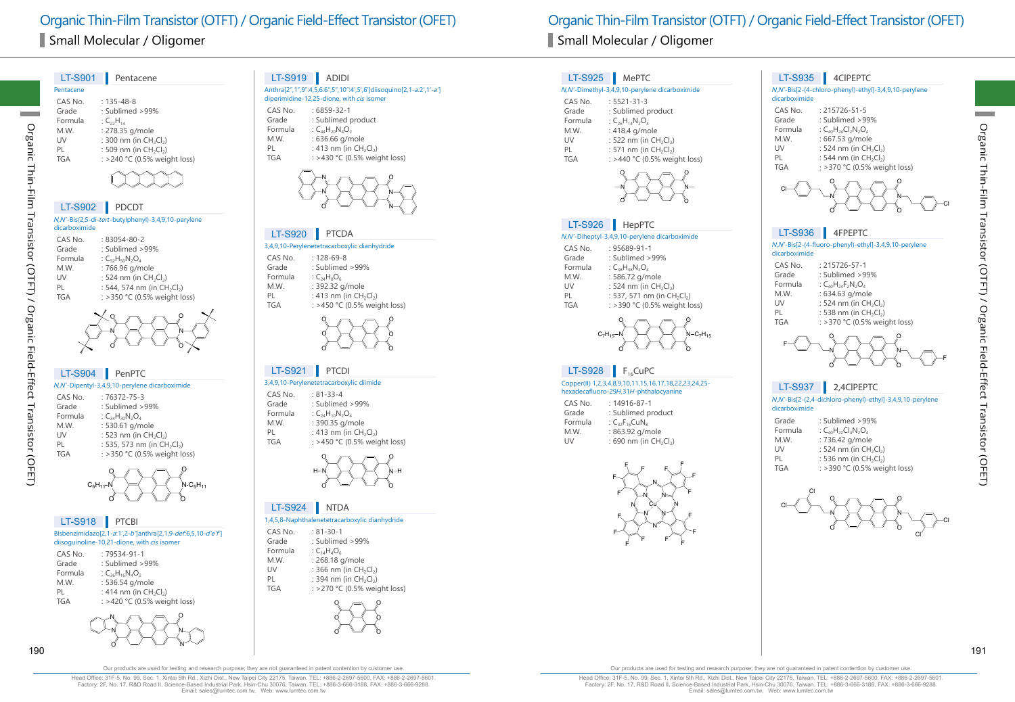| <b>LT-S901</b> | Pentacene                                      |
|----------------|------------------------------------------------|
| Pentacene      |                                                |
| CAS No         | $: 135 - 48 - 8$                               |
| Grade          | $\cdot$ Sublimed >99%                          |
| Formula        | : $C_{22}H_{14}$                               |
| M.W.           | : 278.35 g/mole                                |
| UV             | : 300 nm (in CH <sub>2</sub> Cl <sub>2</sub> ) |
| PI             | : 509 nm (in $CH_2Cl_2$ )                      |
| <b>TGA</b>     | : >240 °C (0.5% weight loss)                   |
|                |                                                |



## LT-S902 PDCDT

Organic Thin-Film Transistor (OTFT) / Organic Field-Effect Transistor (OFET)

Transistor (OTFT) / Organic Field-Effect Transistor (OFET)

Organic Thin-Film

## N,N'-Bis(2,5-di-tert-butylphenyl)-3,4,9,10-perylene dicarboximide

| CAS No.    | $:83054-80-2$                                       |
|------------|-----------------------------------------------------|
| Grade      | : Sublimed >99%                                     |
| Formula    | : $C_{52}H_{50}N_2O_A$                              |
| M.W.       | : 766.96 g/mole                                     |
| UV         | : 524 nm (in CH <sub>2</sub> Cl <sub>2</sub> )      |
| PI         | : 544, 574 nm (in CH <sub>2</sub> Cl <sub>2</sub> ) |
| <b>TGA</b> | : > 350 °C (0.5% weight loss)                       |
|            |                                                     |



| <b>LT-S904</b> | PenPTC                                              |
|----------------|-----------------------------------------------------|
|                | N,N'-Dipentyl-3,4,9,10-perylene dicarboximide       |
| CAS No.        | $.76372 - 75 - 3$                                   |
| Grade          | : Sublimed > 99%                                    |
| Formula        | : $C_{34}H_{30}N_2O_4$                              |
| M.W.           | : 530.61 g/mole                                     |
| UV             | : 523 nm (in CH <sub>2</sub> Cl <sub>2</sub> )      |
| PI             | : 535, 573 nm (in CH <sub>2</sub> Cl <sub>2</sub> ) |
| <b>TGA</b>     | : > 350 °C (0.5% weight loss)                       |



| LT-S918 PTCBI                                                                                               |  |               |
|-------------------------------------------------------------------------------------------------------------|--|---------------|
| Bisbenzimidazo[2,1-a:1',2-b']anthra[2,1,9-def:6,5,10-d'e'f']<br>diisoquinoline-10,21-dione, with cis isomer |  |               |
| CAS No.<br>$\sim$ $\sim$ $\sim$                                                                             |  | $.79534-91-1$ |

| Grade   | : Sublimed $>99\%$           |
|---------|------------------------------|
| Formula | : $C_{36}H_{16}N_AO_2$       |
| M.W.    | : 536.54 g/mole              |
| PL      | : 414 nm (in $CH_2Cl_2$ )    |
| TGA     | : >420 °C (0.5% weight loss) |
|         |                              |



## LT-S919 ADIDI

| Anthra[2",1",9":4,5,6:6",5",10":4',5',6']diisoquino[2,1- <i>a:</i> 2',1'- <i>a</i> ']<br>diperimidine-12,25-dione, with <i>cis</i> isomer |                    |  |
|-------------------------------------------------------------------------------------------------------------------------------------------|--------------------|--|
| CAS No.                                                                                                                                   | $:6859-32-1$       |  |
| Grade                                                                                                                                     | · Sublimed product |  |

- Grade : Sublimed product :  $C_{4}H_{20}N_{4}O_{2}$ Formula :  $C_{44}H_{20}N_{4}O_{2}$ <br>M.W. : 636.66 g/m
- M.W. : 636.66 g/mole<br>PL : 413 nm (in CH<sub>2</sub>
- PL : 413 nm (in  $CH_2Cl_2$ )<br>TGA : >430 °C (0.5% weic  $:$  >430 °C (0.5% weight loss)



## LT-S920 PTCDA

3,4,9,10-Perylenetetracarboxylic dianhydride  $CAS No.$  : 128-69-8<br>Grade : Sublimed Grade : Sublimed >99%<br>Formula :  $C_{24}H_8O_6$ Formula :  $C_{24}H_8O_6$ <br>M.W. : 392.32 M.W. : 392.32 g/mole<br>PL : 413 nm (in CH. PL : 413 nm (in CH<sub>2</sub>Cl<sub>2</sub>)<br>TGA : >450 °C (0.5% weic : >450 °C (0.5% weight loss)



## LT-S921 PTCDI

## 3,4,9,10-Perylenetetracarboxylic diimide

| CAS No. | $: 81 - 33 - 4$              |
|---------|------------------------------|
| Grade   | : Sublimed > 99%             |
| Formula | : $C_{24}H_{10}N_2O_4$       |
| M.W.    | : 390.35 g/mole              |
| PL      | : 413 nm (in $CH_2Cl_2$ )    |
| TGA     | : >450 °C (0.5% weight loss) |
|         |                              |



#### 1,4,5,8-Naphthalenetetracarboxylic dianhydride LT-S924 NTDA

| $1, 7, 9, 0$ reprintment interestigation ying and impartable |                              |  |
|--------------------------------------------------------------|------------------------------|--|
| CAS No.                                                      | $: 81 - 30 - 1$              |  |
| Grade                                                        | : Sublimed >99%              |  |
| Formula                                                      | : $C_{14}H_4O_6$             |  |
| M.W.                                                         | : 268.18 g/mole              |  |
| UV                                                           | : 366 nm (in $CH_2Cl_2$ )    |  |
| PL                                                           | : 394 nm (in $CH_2Cl_2$ )    |  |
| TGA                                                          | : >270 °C (0.5% weight loss) |  |



## LT-S925 MePTC

#### N,N'-Dimethyl-3,4,9,10-perylene dicarboximide

| CAS No. | $: 5521 - 31 - 3$                                |
|---------|--------------------------------------------------|
| Grade   | : Sublimed product                               |
| Formula | : $C_{26}H_{14}N_2O_4$                           |
| M.W.    | : 418.4 g/mole                                   |
| UV      | : 522 nm (in $CH_2Cl_2$ )                        |
| DΙ      | $\cdot$ 571 nm (in $\cap$ $\cup$ $\cap$ $\wedge$ |

- PL : 571 nm (in  $CH_2Cl_2$ )<br>TGA : >440 °C (0.5% weir
	- $:$  >440 °C (0.5% weight loss)



### LT-S926 HepPTC

#### N,N'-Diheptyl-3,4,9,10-perylene dicarboximide

|            | $\cdots$ = $\cdots$ , $\cdots$ , $\cdots$ , $\cdots$ , $\cdots$ , $\cdots$ , $\cdots$ , $\cdots$ , $\cdots$ , $\cdots$ , $\cdots$ , $\cdots$ , $\cdots$ , $\cdots$ |
|------------|--------------------------------------------------------------------------------------------------------------------------------------------------------------------|
| CAS No.    | : 95689-91-1                                                                                                                                                       |
| Grade      | : Sublimed >99%                                                                                                                                                    |
| Formula    | : $C_{38}H_{38}N_2O_4$                                                                                                                                             |
| M.W.       | : 586.72 g/mole                                                                                                                                                    |
| UV         | : 524 nm (in $CH_2Cl_2$ )                                                                                                                                          |
| PL         | : 537, 571 nm (in $CH_2Cl_2$ )                                                                                                                                     |
| <b>TGA</b> | : >390 °C (0.5% weight loss)                                                                                                                                       |
|            |                                                                                                                                                                    |



## LT-S928  $F<sub>16</sub>CuPC$

Copper(II) 1,2,3,4,8,9,10,11,15,16,17,18,22,23,24,25 hexadecafluoro-29H,31H-phthalocyanine

| $: 14916 - 87 - 1$        |
|---------------------------|
| : Sublimed product        |
| : $C_{32}F_{16}CuN_8$     |
| : 863.92 g/mole           |
| : 690 nm (in $CH_2Cl_2$ ) |
|                           |



#### N,N'-Bis[2-(4-chloro-phenyl)-ethyl]-3,4,9,10-perylene dicarboximide

| CAS No. | $: 215726 - 51 - 5$                            |
|---------|------------------------------------------------|
| Grade   | : Sublimed >99%                                |
| Formula | : $C_{40}H_{24}Cl_2N_2O_4$                     |
| M.W.    | : 667.53 g/mole                                |
| UV      | : 524 nm (in CH <sub>2</sub> Cl <sub>2</sub> ) |
| PL      | : 544 nm (in $CH_2Cl_2$ )                      |
| TGA     | : > 370 °C (0.5% weight loss)                  |
|         |                                                |



## <sup>N</sup>,N'-Bis[2-(4-fluoro-phenyl)-ethyl]-3,4,9,10-perylene dicarboximide CAS No. : 215726-57-1 LT-S936 4FPEPTC

| Grade   | : Sublimed >99%              |
|---------|------------------------------|
| Formula | : $C_{40}H_{24}F_2N_2O_4$    |
| M.W.    | : 634.63 g/mole              |
| UV      | : 524 nm (in $CH_2Cl_2$ )    |
| PL      | : 538 nm (in $CH_2Cl_2$ )    |
| TGA     | : >370 °C (0.5% weight loss) |
|         |                              |



#### <sup>N</sup>,N'-Bis[2-(2,4-dichloro-phenyl)-ethyl]-3,4,9,10-perylene dicarboximide LT-S937 2,4CIPEPTC

| Grade   | : Sublimed >99%               |
|---------|-------------------------------|
| Formula | : $C_{40}H_{22}Cl_4N_2O_4$    |
| M.W.    | : 736.42 g/mole               |
| UV      | : 524 nm (in $CH_2Cl_2$ )     |
| PL      | : 536 nm (in $CH_2Cl_2$ )     |
| TGA     | : > 390 °C (0.5% weight loss) |



Organic Thin-Film Transistor (OTFT) / Organic Field-Effect Transistor (OFET)

Head Office: 31F-5, No. 99, Sec. 1, Xintai 5th Rd., Xizhi Dist., New Taipei City 22175, Taiwan. TEL: +886-2-2697-5600, FAX: +886-2-2697-5601. Factory: 2F, No. 17, R&D Road II, Science-Based Industrial Park, Hsin-Chu 30076, Taiwan. TEL: +886-3-666-3188, FAX: +886-3-666-9288. Email: sales@lumtec.com.tw, Web: www.lumtec.com.tw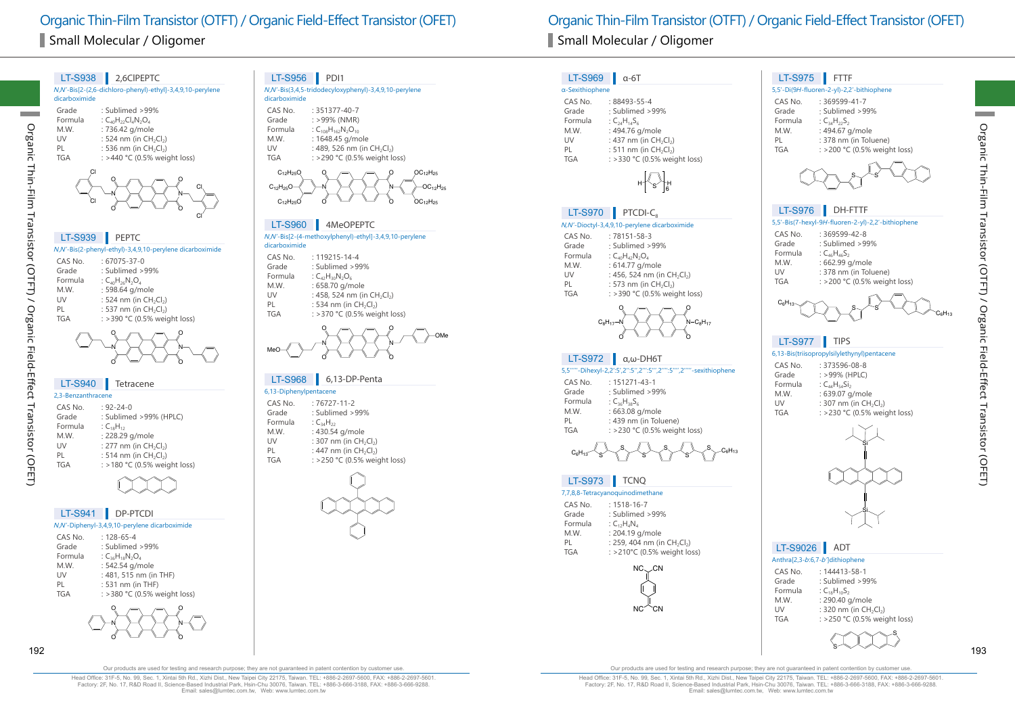N,N'-Bis[2-(2,6-dichloro-phenyl)-ethyl]-3,4,9,10-perylene dicarboximide Grade : Sublimed >99%<br>Formula : C. H<sub>32</sub>CLN<sub>3</sub>O. Formula  $C_{40}H_{22}Cl_4N_2O_4$ <br>M.W.  $: 736.42 \text{ q/mol}$ M.W. : 736.42 g/mole<br>UV : 524 nm (in CH UV : 524 nm (in CH<sub>2</sub>Cl<sub>2</sub>)<br>PL : 536 nm (in CH<sub>2</sub>Cl<sub>2</sub>) PL : 536 nm (in  $CH_2Cl_2$ )<br>TGA : >440 °C (0.5% wei  $:$  >440 °C (0.5% weight loss) LT-S938 2,6CIPEPTC N N O O O O Cl Cl Cl Cl <sup>N</sup>,N'-Bis(2-phenyl-ethyl)-3,4,9,10-perylene dicarboximide CAS No. : 67075-37-0 Grade : Sublimed >99%<br>Formula :  $C_{40}H_{26}N_{2}O_{4}$ Formula  $C_{40}H_{26}N_2O_4$ <br>M.W.  $: 598.64$  g/m M.W. : 598.64 g/mole<br>UV : 524 nm (in CH UV : 524 nm (in CH<sub>2</sub>Cl<sub>2</sub>)<br>PL : 537 nm (in CH<sub>2</sub>Cl<sub>2</sub>) PL : 537 nm (in  $CH_2Cl_2$ )<br>TGA : > 390 °C (0.5% wei  $:$  >390 °C (0.5% weight loss) LT-S939 PEPTC N N O O O O 2,3-Benzanthracene  $CAS No.$  :  $92-24-0$ <br>Grade : Sublime : Sublimed >99% (HPLC) Formula  $C_{18}H_{12}$ <br>M.W. : 228.29 M.W. : 228.29 g/mole<br>UV : 277 nm (in CH) UV : 277 nm (in CH<sub>2</sub>Cl<sub>2</sub>)<br>PL : 514 nm (in CH<sub>2</sub>Cl<sub>2</sub>) PL : 514 nm (in  $CH_2Cl_2$ )<br>TGA : >180 °C (0.5% wei  $:$  >180 °C (0.5% weight loss) LT-S940 Tetracene

Organic Thin-Film Transistor (OTFT) / Organic Field-Effect Transistor (OFET)

Organic Thin-Film Transistor (OTFT) / Organic Field-Effect Transistor (OFET)

#### <sup>N</sup>,N'-Diphenyl-3,4,9,10-perylene dicarboximide LT-S941 DP-PTCDI

| CAS No.    | $.128 - 65 - 4$               |
|------------|-------------------------------|
| Grade      | : Sublimed $>99\%$            |
| Formula    | : $C_{36}H_{18}N_2O_4$        |
| M.W.       | : 542.54 g/mole               |
| UV         | : 481, 515 nm (in THF)        |
| PL         | : 531 nm (in THF)             |
| <b>TGA</b> | : > 380 °C (0.5% weight loss) |
|            |                               |



## LT-S956 PDI1

| N,N'-Bis(3,4,5-tridodecyloxyphenyl)-3,4,9,10-perylene<br>dicarboximide |                                |  |
|------------------------------------------------------------------------|--------------------------------|--|
| CAS No.                                                                | $: 351377 - 40 - 7$            |  |
| Grade                                                                  | $: >99\%$ (NMR)                |  |
| Formula                                                                | $C_{108}H_{162}N_2O_{10}$      |  |
| M.W.                                                                   | : 1648.45 g/mole               |  |
| UV                                                                     | : 489, 526 nm (in $CH_2Cl_2$ ) |  |
| <b>TGA</b>                                                             | : >290 °C (0.5% weight loss)   |  |
|                                                                        |                                |  |

N N O  $\circ$   $\circ$   $\circ$   $\circ$ O  $-OC_{12}H_{25}$  $OC_{12}H_{25}$  $OC<sub>12</sub>H<sub>21</sub>$  $C_{12}H_{25}O$  $C_{12}H_{25}O$  $C_{12}H_{25}C$ 

### LT-S960 4MeOPEPTC

<sup>N</sup>,N'-Bis[2-(4-methoxylphenyl)-ethyl]-3,4,9,10-perylene dicarboximide

CAS No. : 119215-14-4 Grade : Sublimed >99%<br>Formula :  $C_{4}H_{20}N_{2}O_{6}$ Formula :  $C_{42}H_{30}N_2O_6$ <br>M.W. : 658.70 g/m M.W. : 658.70 g/mole<br>UV : 458.524 nm (i) UV : 458, 524 nm (in CH<sub>2</sub>Cl<sub>2</sub>)<br>PL : 534 nm (in CH<sub>2</sub>Cl<sub>2</sub>) PL : 534 nm (in  $CH_2Cl_2$ )<br>TGA : > 370 °C (0.5% wei : >370 °C (0.5% weight loss)

N N O O O O MeO OMe

## LT-S968 6,13-DP-Penta

| 6,13-Diphenylpentacene |                                                |
|------------------------|------------------------------------------------|
| CAS No.                | $:76727-11-2$                                  |
| Grade                  | : Sublimed > 99%                               |
| Formula                | : $C_{34}H_{22}$                               |
| M.W.                   | : 430.54 g/mole                                |
| UV                     | : 307 nm (in CH <sub>2</sub> Cl <sub>2</sub> ) |
| PL                     | : 447 nm (in $CH_2Cl_2$ )                      |
| <b>TGA</b>             | : >250 °C (0.5% weight loss)                   |
|                        |                                                |



## LT-S969 α-6T

#### α-Sexithiophene CAS No. : 88493-55-4<br>Grade : Sublimed > : Sublimed >99% Formula :  $C_{24}H_{14}S_6$ <br>M.W. : 494.76 c M.W. : 494.76 g/mole<br>UV : 437 nm (in CH UV :  $437 \text{ nm (in } CH_2Cl_2)$ <br>PL :  $511 \text{ nm (in } CH_2Cl_2)$ PL : 511 nm (in  $CH_2Cl_2$ )<br>TGA : >330 °C (0.5% wei  $:$  >330 °C (0.5% weight loss)



## LT-S970 PTCDI-C.

#### N,N'-Dioctyl-3,4,9,10-perylene dicarboximide

| CAS No. | $:78151 - 58 - 3$                                   |
|---------|-----------------------------------------------------|
| Grade   | : Sublimed >99%                                     |
| Formula | : $C_{40}H_{42}N_2O_4$                              |
| M.W.    | : 614.77 g/mole                                     |
| UV      | : 456, 524 nm (in CH <sub>2</sub> Cl <sub>2</sub> ) |
| PL      | : 573 nm (in $CH_2Cl_2$ )                           |
| TGA     | : >390 °C (0.5% weight loss)                        |
|         |                                                     |



## LT-S972  $\alpha$ , ω-DH6T

#### 5,5'''''-Dihexyl-2,2':5',2'':5'',2''':5''',2'''':5'''',2'''''-sexithiophene CAS No. : 151271-43-1 : Sublimed >99% Formula :  $C_{36}H_{38}S_{6}$ <br>M.W. : 663.08 M.W. : 663.08 g/mole<br>PL : 439 nm (in Tol PL : 439 nm (in Toluene)<br>TGA : > 230 °C (0.5% weigles)  $:$  >230 °C (0.5% weight loss)

$$
C_6H_{13} \leftarrow S \leftarrow S \leftarrow S \leftarrow S \leftarrow S \leftarrow C_6H_{13}
$$

## LT-S973 **T**CNQ

| 7,7,8,8-Tetracyanoquinodimethane |                                                     |  |
|----------------------------------|-----------------------------------------------------|--|
| CAS No.                          | $: 1518 - 16 - 7$                                   |  |
| Grade                            | : Sublimed >99%                                     |  |
| Formula                          | : $C_{12}H_A N_A$                                   |  |
| M.W.                             | : 204.19 g/mole                                     |  |
| PI                               | : 259, 404 nm (in CH <sub>2</sub> Cl <sub>2</sub> ) |  |
| TGA                              | : >210°C (0.5% weight loss)                         |  |



## 5,5'-Di(9H-fluoren-2-yl)-2,2'-bithiophene CAS No. : 369599-41-7<br>Grade : Sublimed > 9 LT-S975 FTTF

| Grade      | : Sublimed >99%              |
|------------|------------------------------|
| Formula    | : $C_{34}H_{22}S_2$          |
| M.W.       | : 494.67 g/mole              |
| PL         | : 378 nm (in Toluene)        |
| <b>TGA</b> | : >200 °C (0.5% weight loss) |



## LT-S976 DH-FTTF

| 5,5'-Bis(7-hexyl-9H-fluoren-2-yl)-2,2'-bithiophene |                 |  |
|----------------------------------------------------|-----------------|--|
| CAS No.                                            | $:369599-42-8$  |  |
| Grade                                              | : Sublimed >99% |  |

| uuu     | . JUDILILLU <i>- JJ I</i> U  |
|---------|------------------------------|
| Formula | : $C_{46}H_{46}S_2$          |
| M.W.    | : 662.99 g/mole              |
| UV      | : 378 nm (in Toluene)        |
| TGA     | : >200 °C (0.5% weight loss) |
|         |                              |



## LT-S977 TIPS

#### 6,13-Bis(triisopropylsilylethynyl)pentacene

| CAS No.    | $: 373596 - 08 - 8$          |
|------------|------------------------------|
| Grade      | $: >99\%$ (HPLC)             |
| Formula    | : $C_{44}H_{54}Si_2$         |
| M.W.       | : 639.07 g/mole              |
| UV         | : 307 nm (in $CH_2Cl_2$ )    |
| <b>TGA</b> | : >230 °C (0.5% weight loss) |
|            |                              |



## LT-S9026 ADT

|            | Anthra[2,3-b:6,7-b']dithiophene                |
|------------|------------------------------------------------|
| CAS No.    | $: 144413 - 58 - 1$                            |
| Grade      | : Sublimed > 99%                               |
| Formula    | : $C_{18}H_{10}S_2$                            |
| M.W.       | : 290.40 g/mole                                |
| UV         | : 320 nm (in CH <sub>2</sub> Cl <sub>2</sub> ) |
| <b>TGA</b> | : >250 °C (0.5% weight loss)                   |

S

S

192 193

Our products are used for testing and research purpose; they are not guaranteed in patent contention by customer use.

Head Office: 31F-5, No. 99, Sec. 1, Xintai 5th Rd., Xizhi Dist., New Taipei City 22175, Taiwan. TEL: +886-2-2697-5600, FAX: +886-2-2697-5601. Factory: 2F, No. 17, R&D Road II, Science-Based Industrial Park, Hsin-Chu 30076, Taiwan. TEL: +886-3-666-3188, FAX: +886-3-666-9288. Email: sales@lumtec.com.tw, Web: www.lumtec.com.tw

Our products are used for testing and research purpose; they are not guaranteed in patent contention by customer use.

Head Office: 31F-5, No. 99, Sec. 1, Xintai 5th Rd., Xizhi Dist., New Taipei City 22175, Taiwan. TEL: +886-2-2697-5600, FAX: +886-2-2697-5601. Factory: 2F, No. 17, R&D Road II, Science-Based Industrial Park, Hsin-Chu 30076, Taiwan. TEL: +886-3-666-3188, FAX: +886-3-666-9288.<br>Email: sales@lumtec.com.tw, Web: www.lumtec.com.tw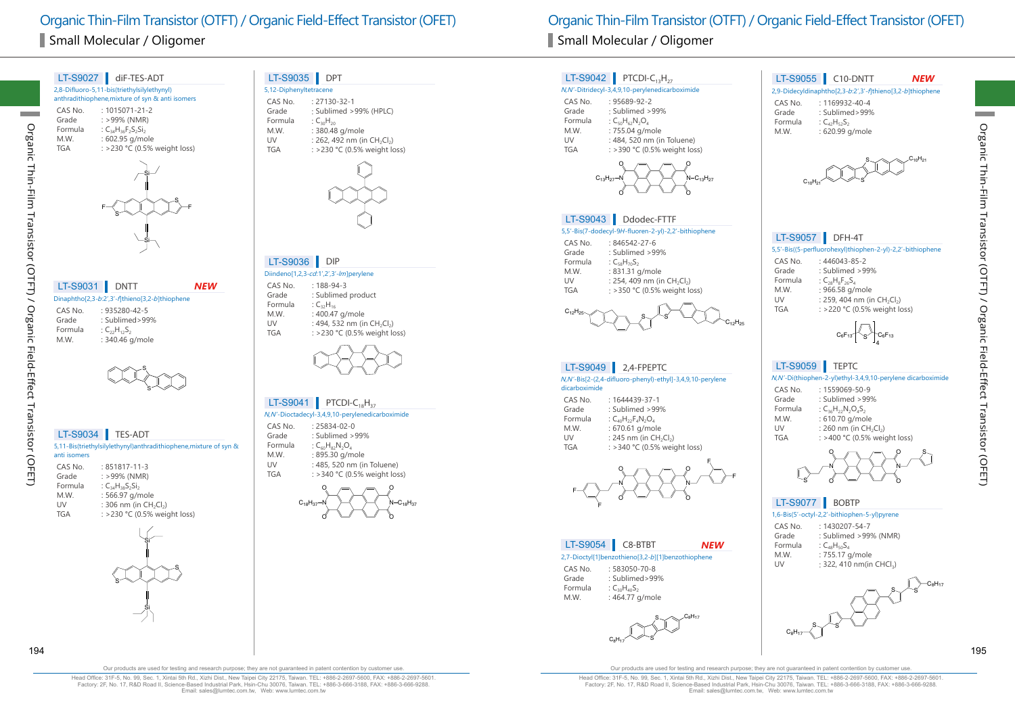| LT-S9027         | diF-TES-ADT                                                       |
|------------------|-------------------------------------------------------------------|
|                  | 2,8-Difluoro-5,11-bis(triethylsilylethynyl)                       |
|                  | anthradithiophene, mixture of syn & anti isomers                  |
| CAS No.          | $: 1015071 - 21 - 2$                                              |
| Grade            | : >99% (NMR)                                                      |
| Formula<br>M.W.  | : $C_{34}H_{36}F_{2}S_{2}Si_{2}$<br>: 602.95 g/mole               |
| <b>TGA</b>       | : >230 °C (0.5% weight loss)                                      |
|                  |                                                                   |
| LT-S9031         | <b>DNTT</b><br>NEW                                                |
|                  | Dinaphtho[2,3-b:2',3'-f]thieno[3,2-b]thiophene                    |
| CAS No.<br>Grade | : 935280-42-5<br>: Sublimed>99%                                   |
| Formula          | : $C_{22}H_{12}S_2$                                               |
| M.W.             | : 340.46 g/mole                                                   |
|                  |                                                                   |
|                  |                                                                   |
|                  |                                                                   |
|                  | LT-S9034 TES-ADT                                                  |
| anti isomers     | 5,11-Bis(triethylsilylethynyl)anthradithiophene, mixture of syn & |

S

S

Si

Si

## LT-S9035 DPT

| 5,12-Diphenyltetracene |                                                     |
|------------------------|-----------------------------------------------------|
| CAS No.                | $: 27130 - 32 - 1$                                  |
| Grade                  | : Sublimed >99% (HPLC)                              |
| Formula                | : $C_{30}H_{20}$                                    |
| M.W.                   | : 380.48 g/mole                                     |
| UV                     | : 262, 492 nm (in CH <sub>2</sub> Cl <sub>2</sub> ) |
| <b>TGA</b>             | : >230 °C (0.5% weight loss)                        |
|                        |                                                     |



## LT-S9036 DIP

Diindeno[1,2,3-cd:1',2',3'-lm]perylene CAS No. : 188-94-3<br>Grade : Sublimed Grade : Sublimed product<br>Formula :  $C_{32}H_{16}$ Formula  $:C_{32}H_{16}$ <br>M W  $: 4004$ M.W. : 400.47 g/mole<br>UV : 494, 532 nm (in UV : 494, 532 nm (in CH<sub>2</sub>Cl<sub>2</sub>)<br>TGA : > 230 °C (0.5% weight lot  $:$  >230 °C (0.5% weight loss)



## LT-S9041 PTCDI-C<sub>18</sub>H<sub>37</sub>

#### N,N'-Dioctadecyl-3,4,9,10-perylenedicarboximide

| CAS No.    | $: 25834 - 02 - 0$            |
|------------|-------------------------------|
| Grade      | : Sublimed >99%               |
| Formula    | : $C_{60}H_{82}N_2O_A$        |
| M.W.       | : 895.30 g/mole               |
| UV         | : 485, 520 nm (in Toluene)    |
| <b>TGA</b> | : > 340 °C (0.5% weight loss) |



Organic Thin-Film Transistor (OTFT) / Organic Field-Effect Transistor (OFET) Organic Thin-Film Transistor (OTFT) / Organic Field-Effect Transistor (OFET)

#### N,N'-Bis[2-(2,4-difluoro-phenyl)-ethyl]-3,4,9,10-perylene dicarboximide CAS No. : 1644439-37-1<br>Grade : Sublimed > 99 : Sublimed >99% Formula :  $C_{40}H_{22}F_{4}N_{2}O_{4}$ <br>M.W. : 670.61 g/mo M.W. : 670.61 g/mole<br>UV : 245 nm (in CH UV : 245 nm (in CH<sub>2</sub>Cl<sub>2</sub>)<br>TGA : > 340 °C (0.5% wei  $:$  >340 °C (0.5% weight loss) LT-S9049 2,4-FPEPTC 5,5'-Bis((5-perfluorohexyl)thiophen-2-yl)-2,2'-bithiophene CAS No. : 446043-85-2 Grade : Sublimed >99%<br>Formula :  $C_{28}H_{8}F_{26}S_{4}$ Formula :  $C_{28}H_8F_{26}S_4$ <br>M.W. : 966.58 g/t M.W. : 966.58 g/mole<br>UV : 259, 404 nm (in UV :  $259, 404$  nm (in CH<sub>2</sub>Cl<sub>2</sub>)<br>TGA : >220 °C (0.5% weight lo  $:$  >220 °C (0.5% weight loss) LT-S9057 DFH-4T  $C_6F_{13}$  C<sub>6</sub>F<sub>13</sub> 4 N,N'-Di(thiophen-2-yl)ethyl-3,4,9,10-perylene dicarboximide CAS No. : 1559069-50-9 Grade : Sublimed >99%<br>Formula : C<sub>26</sub>H<sub>22</sub>N<sub>2</sub>O<sub>4</sub>S<sub>2</sub> Formula :  $C_{36}H_{22}N_2O_4S_2$ <br>M.W. : 610.70 g/mo M.W. : 610.70 g/mole<br>UV : 260 nm (in CH UV :  $260 \text{ nm (in } CH_2Cl_2)$ <br>TGA :  $>400 \text{ °C}$  (0.5% weight)  $:$  >400 °C (0.5% weight loss) LT-S9059 TEPTC O O S N,N'-Ditridecyl-3,4,9,10-perylenedicarboximide CAS No. : 95689-92-2<br>Grade : Sublimed > 9 Grade : Sublimed >99%<br>Formula : CroHepN<sub>2</sub>O Formula :  $C_{50}H_{62}N_2O_4$ <br>M.W. : 755.04 g/m M.W. : 755.04 g/mole<br>UV : 484, 520 nm (in UV : 484, 520 nm (in Toluene)<br>
TGA : > 390 °C (0.5% weight los  $:$  >390 °C (0.5% weight loss) LT-S9042 PTCDI-C<sub>13</sub>H<sub>27</sub> N N O O O O  $C_{13}H_{27} - N$   $\longrightarrow$   $\longrightarrow$   $N - C_{13}H_{27}$ 5,5'-Bis(7-dodecyl-9H-fluoren-2-yl)-2,2'-bithiophene CAS No. : 846542-27-6<br>Grade : Sublimed > 99 Grade : Sublimed >99%<br>Formula : C<sub>s</sub>, H<sub>70</sub>S<sub>2</sub> Formula :  $C_{58}H_{70}S_2$ <br>M.W. : 831.31 M.W. : 831.31 g/mole<br>UV : 254, 409 nm (in UV : 254, 409 nm (in CH<sub>2</sub>Cl<sub>2</sub>)<br>TGA : > 350 °C (0.5% weight lo  $:$  >350 °C (0.5% weight loss) LT-S9043 Ddodec-FTTF  $\mathsf{s}\smile\!\!$   $\mathsf{s}\smile$  $C_{12}H_{25}$ 2,9-Didecyldinaphtho[2,3-b:2',3'-f]thieno[3,2-b]thiophene CAS No. : 1169932-40-4<br>Grade : Sublimed>999 Grade : Sublimed>99%<br>Formula : C<sub>42</sub>H<sub>52</sub>S<sub>2</sub> Formula  $C_{42}H_{52}S_2$ <br>M.W. : 620.99 c : 620.99 g/mole LT-S9055 C10-DNTT S  $\mathsf{s}\diagdown\diagdown\mathsf{C}_{10}\mathsf{H}_{21}$  $C_{10}H_{21}$ *NEW*



#### LT-S9054 C8-BTBT *NEW*

#### 2,7-Dioctyl[1]benzothieno[3,2-b][1]benzothiophene

CAS No. : 583050-70-8<br>Grade : Sublimed>99 : Sublimed>99% Formula :  $C_{30}H_{40}S_2$ <br>M.W. : 464.77 : 464.77 g/mole

 $C_{12}H_{25}$ 

S S C8H17  $\mathrm{C_8H_{17}}$ 



## LT-S9077 BOBTP

#### 1,6-Bis(5'-octyl-2,2'-bithiophen-5-yl)pyrene

| CAS No. |                     | : 1430207-54-7  |                                      |
|---------|---------------------|-----------------|--------------------------------------|
| Grade   |                     |                 | : Sublimed >99% (NMR)                |
| Formula | : $C_{48}H_{50}S_A$ |                 |                                      |
| M.W.    |                     | : 755.17 g/mole |                                      |
| UV      |                     |                 | : 322, 410 nm(in CHCl <sub>3</sub> ) |
|         |                     |                 |                                      |



Organic Thin-Film Transistor (OTFT) / Organic Field-Effect Transistor (OFET)

Organic Thin-Film Transistor (OTFT) / Organic Field-Effect Transistor (OFET)

Our products are used for testing and research purpose; they are not guaranteed in patent contention by customer use

Head Office: 31F-5, No. 99, Sec. 1, Xintai 5th Rd., Xizhi Dist., New Taipei City 22175, Taiwan. TEL: +886-2-2697-5600, FAX: +886-2-2697-5601. Factory: 2F, No. 17, R&D Road II, Science-Based Industrial Park, Hsin-Chu 30076, Taiwan. TEL: +886-3-666-3188, FAX: +886-3-666-9288. Email: sales@lumtec.com.tw, Web: www.lumtec.com.tw

Our products are used for testing and research purpose; they are not guaranteed in patent contention by customer use.

Head Office: 31F-5, No. 99, Sec. 1, Xintai 5th Rd., Xizhi Dist., New Taipei City 22175, Taiwan. TEL: +886-2-2697-5600, FAX: +886-2-2697-5601. Factory: 2F, No. 17, R&D Road II, Science-Based Industrial Park, Hsin-Chu 30076, Taiwan. TEL: +886-3-666-3188, FAX: +886-3-666-9288. Email: sales@lumtec.com.tw, Web: www.lumtec.com.tw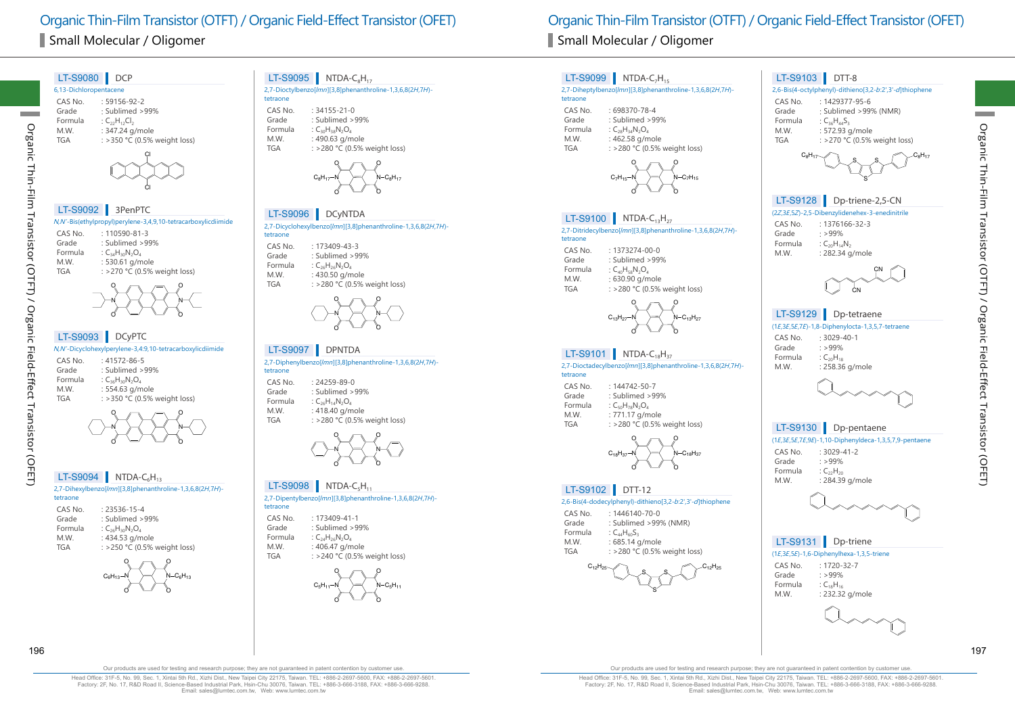# Small Molecular / Oligomer Small Molecular / Oligomer

## 6,13-Dichloropentacene CAS No. : 59156-92-2 Grade : Sublimed >99% Formula  $C_{22}H_{12}Cl_2$ <br>M.W.  $: 347.24 \text{ g}$ M.W. : 347.24 g/mole<br>TGA : >350 °C (0.5%  $:$  >350 °C (0.5% weight loss) LT-S9080 DCP Cl Cl N,N'-Bis(ethylpropyl)perylene-3,4,9,10-tetracarboxylicdiimide CAS No. : 110590-81-3 LT-S9092 3PenPTC

| CAS NO. | : 110590-81-3                |
|---------|------------------------------|
| Grade   | : Sublimed >99%              |
| Formula | : $C_{34}H_{30}N_2O_4$       |
| M.W.    | : 530.61 g/mole              |
| TGA     | : >270 °C (0.5% weight loss) |
|         | ୍ଦ                           |
|         | $\mathscr{N}$                |

## N N O

## LT-S9093 DCyPTC

Organic Thin-Film Transistor (OTFT) / Organic Field-Effect Transistor (OFET) Transistor (OTFT) / Organic Field-Effect Transistor (OFET) N,N'-Dicyclohexylperylene-3,4:9,10-tetracarboxylicdiimide CAS No. : 41572-86-5<br>Grade : Sublimed >

**Organic** 

Thin-Film

#### Grade : Sublimed >99%<br>Formula : C<sub>26</sub>H<sub>20</sub>N<sub>2</sub>O<sub>4</sub> Formula  $C_{36}H_{30}N_2O_4$ <br>MW  $\cdot$  554.63 g/m M.W. : 554.63 g/mole<br>TGA  $\cdot$  >350 °C (0.5%)  $:$  >350 °C (0.5% weight loss)



O

LT-S9094 NTDA- $C_6H_{13}$ 

| 2,7-Dihexylbenzo[/ <i>mn</i> ][3,8]phenanthroline-1,3,6,8(2H,7H)- |
|-------------------------------------------------------------------|
| tetraone                                                          |
|                                                                   |

| CAS No.    | : 23536-15-4                 |
|------------|------------------------------|
| Grade      | : Sublimed >99%              |
| Formula    | : $C_{26}H_{30}N_2O_A$       |
| M.W.       | : 434.53 g/mole              |
| <b>TGA</b> | : >250 °C (0.5% weight loss) |



## **LT-S9095** NTDA-C<sub>8</sub>H<sub>17</sub><br>2.7-Dioctylbenzof/mnIf3.81phenanthr

| $2,7$ -Dioctylbenzo $[lmn][3,8]$ phenanthroline-1,3,6,8(2H,7H)- |  |
|-----------------------------------------------------------------|--|
| tetraone                                                        |  |

CAS No.  $\therefore$  34155-21-0<br>Grade  $\therefore$  Sublimed >9 Grade : Sublimed >99%<br>Formula : C<sub>20</sub>H<sub>29</sub>N<sub>2</sub>O<sub>4</sub> Formula :  $C_{30}H_{38}N_2O_4$ <br>M.W. : 490.63 g/m M.W. : 490.63 g/mole<br>TGA : >280 °C (0.5%  $:$  >280 °C (0.5% weight loss)



#### 2,7-Dicyclohexylbenzo[lmn][3,8]phenanthroline-1,3,6,8(2H,7H) tetraone LT-S9096 DCyNTDA

CAS No. : 173409-43-3<br>Grade : Sublimed > 9 Grade : Sublimed >99%<br>Formula :  $C_{26}H_{26}N_2O_4$ Formula :  $C_{26}H_{26}N_2O_4$ <br>M.W. : 430.50 g/m : 430.50 g/mole TGA : >280 °C (0.5% weight loss)



#### 2,7-Diphenylbenzo[lmn][3,8]phenanthroline-1,3,6,8(2H,7H)- LT-S9097 DPNTDA

## tetraone

CAS No. : 24259-89-0<br>Grade : Sublimed > Grade : Sublimed >99%<br>Formula : C<sub>26</sub>H<sub>14</sub>N<sub>2</sub>O<sub>4</sub> Formula :  $C_{26}H_{14}N_2O_4$ <br>M.W. : 418.40 g/m M.W. : 418.40 g/mole<br>TGA : >280 °C (0.5%  $:$  >280 °C (0.5% weight loss)



## LT-S9098 NTDA-C<sub>5</sub>H<sub>11</sub>

2,7-Dipentylbenzo[lmn][3,8]phenanthroline-1,3,6,8(2H,7H) tetraone

| CAS No. | $: 173409 - 41 - 1$          |
|---------|------------------------------|
| Grade   | : Sublimed >99%              |
| Formula | : $C_{24}H_{26}N_2O_4$       |
| M.W.    | : 406.47 g/mole              |
| TGA     | : >240 °C (0.5% weight loss) |
|         |                              |



# Organic Thin-Film Transistor (OTFT) / Organic Field-Effect Transistor (OFET) Organic Thin-Film Transistor (OTFT) / Organic Field-Effect Transistor (OFET)

tetraone

tetraone

tetraone

CAS No. : 698370-78-4<br>Grade : Sublimed > 99 Grade : Sublimed >99%<br>Formula :  $C_{29}H_{24}N_2O_4$ Formula :  $C_{28}H_{34}N_2O_4$ <br>M.W. : 462.58 g/m M.W. : 462.58 g/mole<br>TGA : >280 °C (0.5%

CAS No. : 1373274-00-0<br>Grade : Sublimed > 99 Grade : Sublimed >99%<br>Formula : C<sub>40</sub>H<sub>50</sub>N<sub>2</sub>O<sub>4</sub> Formula  $C_{40}H_{58}N_2O_4$ <br>M.W. : 630.90 g/m M.W. : 630.90 g/mole<br>TGA : >280 °C (0.5%

CAS No. : 144742-50-7<br>Grade : Sublimed > 9 Grade : Sublimed >99%<br>Formula : C<sub>EO</sub>H<sub>70</sub>N<sub>2</sub>O<sub>4</sub> Formula  $C_{50}H_{78}N_2O_4$ <br>M.W.  $: 771.17 \text{ g/m}$ M.W. : 771.17 g/mole<br>TGA : >280 °C (0.5%)

CAS No. : 1446140-70-0 Grade : Sublimed >99% (NMR)

LT-S9102 DTT-12

Formula :  $C_{44}H_{60}S_3$ <br>M.W. : 685.14

O

O

O

O

O

O

2,6-Bis(4-dodecylphenyl)-dithieno[3,2-b:2',3'-d]thiophene

S S S  $C_{12}H_{25}$  c c<sub>12</sub>H<sub>25</sub>

: 685.14 g/mole TGA : >280 °C (0.5% weight loss)

O

LT-S9099 NTDA-C<sub>7</sub>H<sub>15</sub>



#### CAS No. : 3029-41-2<br>Grade : >99% : >99%<br> $C_{22}H_{20}$ Formula<br>M.W. : 284.39 g/mole



## LT-S9131 Dp-triene

| (1E, 3E, 5E) - 1, 6 - Diphenylhexa - 1, 3, 5 - triene |             |  |
|-------------------------------------------------------|-------------|--|
| CAS No.                                               | : 1720-32-7 |  |



196 197

Our products are used for testing and research purpose; they are not guaranteed in patent contention by customer use.

Head Office: 31F-5, No. 99, Sec. 1, Xintai 5th Rd., Xizhi Dist., New Taipei City 22175, Taiwan. TEL: +886-2-2697-5600, FAX: +886-2-2697-5601. Factory: 2F, No. 17, R&D Road II, Science-Based Industrial Park, Hsin-Chu 30076, Taiwan. TEL: +886-3-666-3188, FAX: +886-3-666-9288. Email: sales@lumtec.com.tw, Web: www.lumtec.com.tw

Our products are used for testing and research purpose; they are not guaranteed in patent contention by customer use.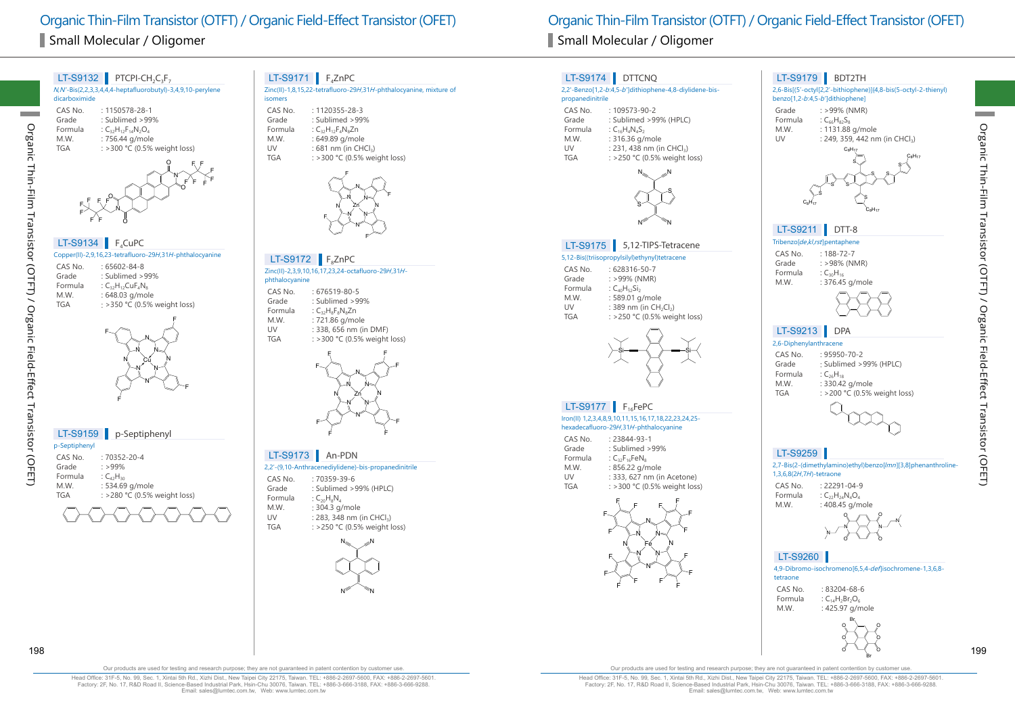# Small Molecular / Oligomer Small Molecular / Oligomer



LT-S9132 PTCPI-CH<sub>2</sub>C<sub>3</sub>F<sub>7</sub>

## $LT-S9171$  F<sub>4</sub>ZnPC

Zinc(II)-1,8,15,22-tetrafluoro-29H,31H-phthalocyanine, mixture of isomers

CAS No. : 1120355-28-3<br>Grade : Sublimed > 99 Grade : Sublimed >99%<br>Formula : C<sub>22</sub>H<sub>32</sub>E<sub>4</sub>N<sub>2</sub>E<sub>0</sub> Formula :  $C_{32}H_{12}F_4N_8Zn$ <br>M.W. : 649.89 g/mol M.W. : 649.89 g/mole<br>UV : 681 nm (in CH) UV :  $681 \text{ nm (in CHCl}_3)$ <br>TGA :  $>300 \text{ °C}$  (0.5% we  $:$  >300 °C (0.5% weight loss)



#### $LT-S9172$  F<sub>8</sub>ZnPC

Zinc(II)-2,3,9,10,16,17,23,24-octafluoro-29H,31H-

- phthalocyanine
- CAS No. : 676519-80-5<br>Grade : Sublimed > 99 Grade : Sublimed >99%<br>Formula : C<sub>ar</sub>H<sub>e</sub>F<sub>e</sub>N<sub>e</sub>Zn Formula  $C_{32}H_8F_8N_8Zn$ <br>M.W.  $\qquad \qquad$ : 721.86 g/mo M.W. : 721.86 g/mole<br>UV : 338, 656 nm (i) UV : 338, 656 nm (in DMF)<br>TGA : >300 °C (0.5% weight  $:$  >300 °C (0.5% weight loss)



## LT-S9173 An-PDN

- 2,2'-(9,10-Anthracenediylidene)-bis-propanedinitrile
- CAS No. : 70359-39-6<br>Grade : Sublimed > 9 : Sublimed >99% (HPLC) Formula :  $C_{20}H_8N_4$ <br>M W  $\cdot$  304.3 g : 304.3 g/mole
- UV : 283, 348 nm (in CHCl<sub>3</sub>)<br>TGA : > 250 °C (0.5% weight )  $:$  >250 °C (0.5% weight loss)



Organic Thin-Film Transistor (OTFT) / Organic Field-Effect Transistor (OFET) Organic Thin-Film Transistor (OTFT) / Organic Field-Effect Transistor (OFET)

#### 5,12-Bis((triisopropylsilyl)ethynyl)tetracene CAS No. : 628316-50-7<br>Grade : >99% (NMR) Grade  $: >99\%$  (NMR)<br>Formula  $: C_{40}H_{52}Si_2$ Formula  $C_{40}H_{52}Si_2$ <br>M.W. : 589.01 g M.W. : 589.01 g/mole<br>UV : 389 nm (in CH) UV :  $389 \text{ nm}$  (in CH<sub>2</sub>Cl<sub>2</sub>)<br>TGA : > 250 °C (0.5% wei  $:$  >250 °C (0.5% weight loss) LT-S9175 5,12-TIPS-Tetracene Si—≡—√ *a*—≡—Si Iron(II) 1,2,3,4,8,9,10,11,15,16,17,18,22,23,24,25 hexadecafluoro-29H,31H-phthalocyanine CAS No. : 23844-93-1 Grade : Sublimed >99% Formula  $C_{32}F_{16}FeN_8$ <br>M.W. : 856.22 q/r M.W. : 856.22 g/mole<br>UV : 333. 627 nm (in LT-S9177 F<sub>16</sub>FePC 2,2'-Benzo[1,2-b:4,5-b']dithiophene-4,8-diylidene-bis-CAS No. : 109573-90-2<br>Grade : Sublimed > 99 Grade : Sublimed >99% (HPLC)<br>Formula : C<sub>16</sub>H, N, S<sub>3</sub> Formula :  $C_{16}H_4N_4S_2$ <br>M.W. : 316.36 g/ M.W. : 316.36 g/mole<br>UV : 231, 438 nm (i) UV : 231, 438 nm (in CHCl<sub>3</sub>)<br>TGA  $\cdot$  > 250 °C (0.5% weight)  $:$  >250 °C (0.5% weight loss) LT-S9174 DTTCNQ N‱ <sub>a</sub>n  $N^>$   $\gamma$ S S Tribenzolde kl rst]pentaphene CAS No. : 188-72-7<br>Grade : >98% (NI : >98% (NMR)<br>:  $C_{30}H_{16}$ Formula<br>M.W. : 376.45 g/mole LT-S9211 DTT-8 2,6-Diphenylanthracene CAS No. : 95950-70-2 Grade : Sublimed >99% (HPLC) Formula :  $C_{26}H_{18}$ <br>M.W. : 330.42 M.W. : 330.42 g/mole<br>TGA : >200 °C (0.5% : >200 °C (0.5% weight loss) LT-S9213 DPA 2,7-Bis(2-(dimethylamino)ethyl)benzo[lmn][3,8]phenanthroline-LT-S9259 2,6-Bis[(5'-octyl[2,2'-bithiophene)]{4,8-bis(5-octyl-2-thienyl) benzo[1,2-b:4,5-b']dithiophene] Grade  $: >99\%$  (NMR)<br>Formula  $: C_{c}H_{e2}S_{e}$ Formula  $:C_{66}H_{82}S_{8}$ <br>M.W. : 1131.88 M.W. : 1131.88 g/mole<br>UV : 249, 359, 442 nr  $: 249, 359, 442$  nm (in CHCl<sub>3</sub>) LT-S9179 BDT2TH S S S S  $\mathrm{C_{8}H_{17}}$  $\mathrm{C_{8}H_{17}}$ S S S S  $\mathrm{\mu_{8}H_{17}}$  $\mathrm{C_{8}H_{17}}$

1,3,6,8(2H,7H)-tetraone

CAS No. : 22291-04-9 Formula :  $C_{22}H_{24}N_{4}O_{4}$ <br>M.W. : 408.45 g/m  $: 408.45$  g/mole



## LT-S9260

|          | 4,9-Dibromo-isochromeno[6,5,4- <i>def</i> ]isochromene-1,3,6,8- |  |
|----------|-----------------------------------------------------------------|--|
| tetraone |                                                                 |  |
| $   -$   | $0.0001$ $0.000$                                                |  |

CAS No.  $\therefore$  83204-68-6<br>Formula  $\therefore$  C<sub>2</sub>H<sub>2</sub>Br<sub>2</sub>O<sub>c</sub> Formula :  $C_{14}H_2Br_2O_6$ <br>M.W. : 425.97 g/n : 425.97 g/mole

O O O O O O Br 198 199

Br

Organic Thin-Film Transistor (OTFT) / Organic Field-Effect Transistor (OFET)

Organic Thin-Film Transistor (OTFT) / Organic Field-Effect Transistor (OFET)

Our products are used for testing and research purpose; they are not guaranteed in patent contention by customer use.

Head Office: 31F-5, No. 99, Sec. 1, Xintai 5th Rd., Xizhi Dist., New Taipei City 22175, Taiwan. TEL: +886-2-2697-5600, FAX: +886-2-2697-5601. Factory: 2F, No. 17, R&D Road II, Science-Based Industrial Park, Hsin-Chu 30076, Taiwan. TEL: +886-3-666-3188, FAX: +886-3-666-9288. Email: sales@lumtec.com.tw, Web: www.lumtec.com.tw

Our products are used for testing and research purpose; they are not guaranteed in patent contention by customer use.

UV : 333, 627 nm (in Acetone)<br>TGA : > 300 °C (0.5% weight los

<sup>F</sup> <sup>F</sup>

N

F F F

F F

propanedinitrile

N N

: >300 °C (0.5% weight loss)

N N

F F F F

Fe N

N N

<sup>F</sup> <sup>F</sup> <sup>F</sup>

F F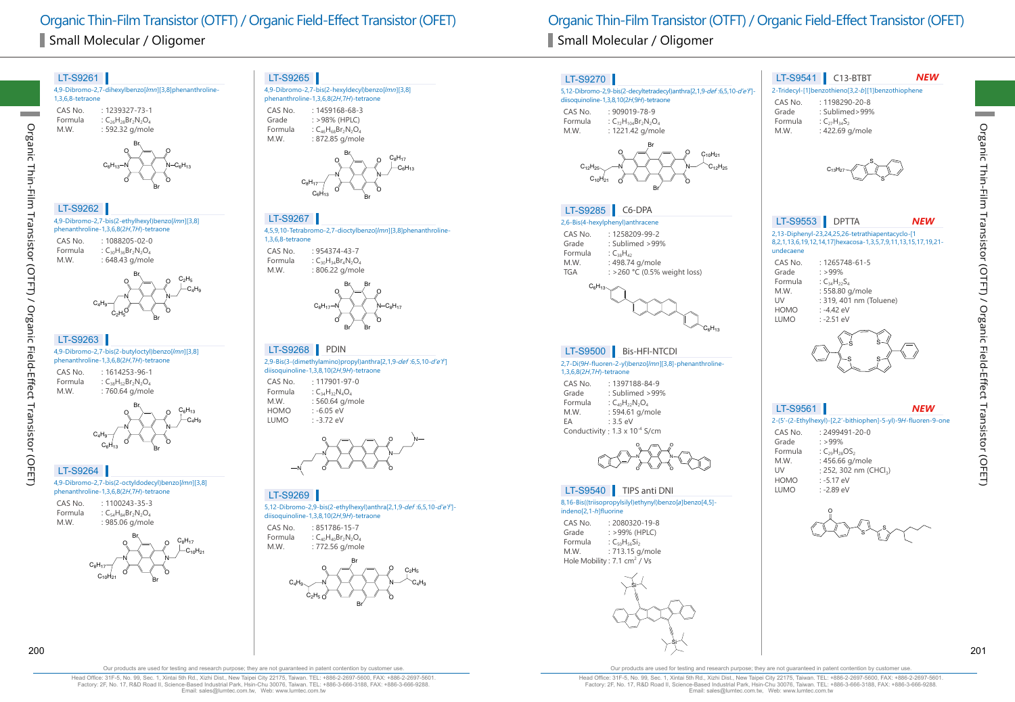# Small Molecular / Oligomer Small Molecular / Oligomer



4,9-Dibromo-2,7-bis(2-hexyldecyl)benzo[lmn][3,8] phenanthroline-1,3,6,8(2H,7H)-tetraone CAS No. : 1459168-68-3<br>Grade : > 98% (HPLC) Grade : >98% (HPLC)<br>Formula : C<sub>45</sub>H<sub>6</sub>Br<sub>2</sub>N<sub>2</sub>O



4,5,9,10-Tetrabromo-2,7-dioctylbenzo[lmn][3,8]phenanthroline-





2,9-Bis(3-(dimethylamino)propyl)anthra[2,1,9-def :6,5,10-d'e'f'] diisoquinoline-1,3,8,10(2H,9H)-tetraone LT-S9268 **PDIN** 

CAS No. : 117901-97-0 Formula :  $C_{34}H_{32}N_4O_4$ <br>M.W. : 560.64 g/m M.W. : 560.64 g/mole<br>HOMO : -6.05 eV  $: -6.05 \text{ eV}$ LUMO : -3.72 eV



5,12-Dibromo-2,9-bis(2-ethylhexyl)anthra[2,1,9-def :6,5,10-d'e'f'] diisoquinoline-1,3,8,10(2H,9H)-tetraone

CAS No.  $\div 851786-15-7$ <br>Formula  $\div C_0H_0Br_2N_2O$ Formula  $C_{40}H_{40}Br_2N_2O_4$ <br>M.W.  $: 772.56$  g/mol : 772.56 g/mole



Organic Thin-Film Transistor (OTFT) / Organic Field-Effect Transistor (OFET) Organic Thin-Film Transistor (OTFT) / Organic Field-Effect Transistor (OFET)



Organic Thin-Film Transistor (OTFT) / Organic Field-Effect Transistor (OFET)

Transistor (OTFT) / Organic Field-Effect Transistor (OFET)

**Organic** 

Thin-Film

Head Office: 31F-5, No. 99, Sec. 1, Xintai 5th Rd., Xizhi Dist., New Taipei City 22175, Taiwan. TEL: +886-2-2697-5600, FAX: +886-2-2697-5601. Factory: 2F, No. 17, R&D Road II, Science-Based Industrial Park, Hsin-Chu 30076, Taiwan. TEL: +886-3-666-3188, FAX: +886-3-666-9288. Email: sales@lumtec.com.tw, Web: www.lumtec.com.tw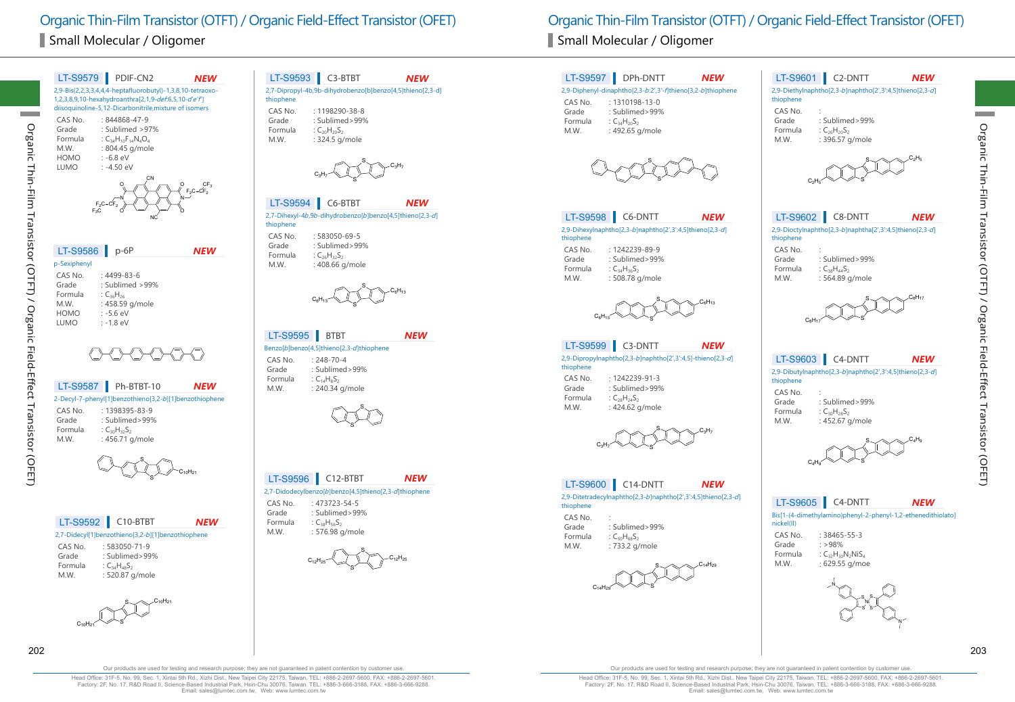

#### 2,7-Dipropyl-4b,9b-dihydrobenzo[b]benzo[4,5]thieno[2,3-d] LT-S9593 C3-BTBT *NEW*

thiophene

CAS No. : 1198290-38-8<br>Grade : Sublimed>99% Grade : Sublimed>99%<br>Formula : C<sub>20</sub>H<sub>20</sub>S<sub>2</sub> Formula :  $C_{20}H_{20}S_2$ <br>M.W. : 324.5 g : 324.5 g/mole

S S  $C_3H_7$  $C_3H_7$ 

#### 2,7-Dihexyl-4b,9b-dihydrobenzo[b]benzo[4,5]thieno[2,3-d] LT-S9594 C6-BTBT *NEW*

thiophene CAS No. : 583050-69-5 : Sublimed>99% Formula :  $C_{26}H_{32}S_2$ <br>M.W. : 408.66 c : 408.66 g/mole



#### $LT-S9595$  BTBT *NEW*

Benzo[b]benzo[4,5]thieno[2,3-d]thiophene CAS No. : 248-70-4<br>Grade : Sublimed : Sublimed>99% Formula  $C_{14}H_8S_2$ <br>M.W. : 240.34  $: 240.34$  g/mole



#### LT-S9596 C12-BTBT *NEW*

- 2,7-Didodecylbenzo[b]benzo[4,5]thieno[2,3-d]thiophene
- CAS No. : 473723-54-5 Grade : Sublimed>99% Formula :  $C_{38}H_{56}S_2$ <br>M.W. : 576.98 : 576.98 g/mole







202 203

Organic Thin-Film Transistor (OTFT) / Organic Field-Effect Transistor (OFET)

Transistor (OTFT) / Organic Field-Effect

Transistor (OFET)

Organic Thin-Film

Our products are used for testing and research purpose; they are not guaranteed in patent contention by customer use

Head Office: 31F-5, No. 99, Sec. 1, Xintai 5th Rd., Xizhi Dist., New Taipei City 22175, Taiwan. TEL: +886-2-2697-5600, FAX: +886-2-2697-5601. Factory: 2F, No. 17, R&D Road II, Science-Based Industrial Park, Hsin-Chu 30076, Taiwan. TEL: +886-3-666-3188, FAX: +886-3-666-9288. Email: sales@lumtec.com.tw, Web: www.lumtec.com.tw

Our products are used for testing and research purpose; they are not guaranteed in patent contention by customer use.

S

 $\mathsf{C}_{14} \mathsf{H}_{29}$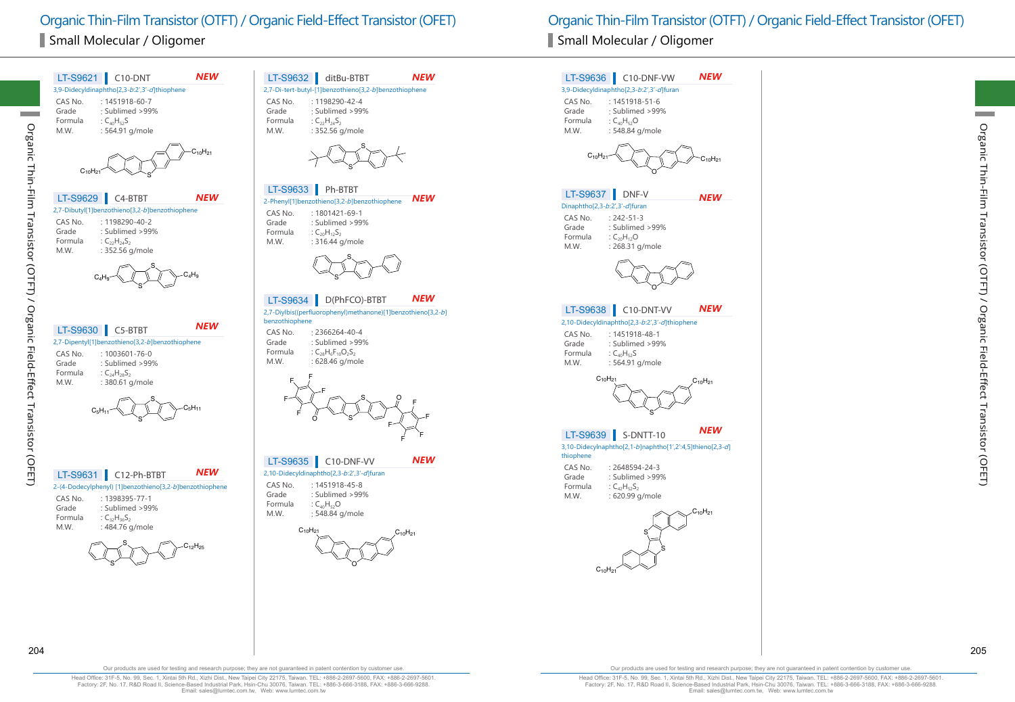| <b>NEW</b>                                                                                                                                                                                                                   | LT-S9632 ditBu-BTBT                                                                                                                                                                                  |
|------------------------------------------------------------------------------------------------------------------------------------------------------------------------------------------------------------------------------|------------------------------------------------------------------------------------------------------------------------------------------------------------------------------------------------------|
| LT-S9621 C10-DNT                                                                                                                                                                                                             | <b>NEW</b>                                                                                                                                                                                           |
| 3,9-Didecyldinaphtho[2,3-b:2',3'-d]thiophene<br>$: 1451918 - 60 - 7$<br>CAS No.<br>Grade<br>: Sublimed >99%<br>: $C_{40}H_{52}S$<br>Formula<br>M.W.<br>: 564.91 g/mole<br>$C_{10}H_{21}$                                     | 2,7-Di-tert-butyl-[1]benzothieno[3,2-b]benzothiophene<br>: 1198290-42-4<br>CAS No.<br>Grade<br>: Sublimed >99%<br>Formula<br>: $C_{22}H_{24}S_{2}$<br>M.W.<br>: 352.56 g/mole                        |
| <b>NEW</b><br>LT-S9629<br>C4-BTBT<br>2,7-Dibutyl[1]benzothieno[3,2-b]benzothiophene<br>: 1198290-40-2<br>CAS No.<br>: Sublimed >99%<br>Grade<br>Formula<br>: $C_{22}H_{24}S_{2}$<br>: 352.56 g/mole<br>M.W.<br>$\rm{C_4H_9}$ | LT-S9633 Ph-BTBT<br><b>NEW</b><br>2-Phenyl[1]benzothieno[3,2-b]benzothiophene<br>CAS No.<br>: 1801421-69-1<br>: Sublimed > 99%<br>Grade<br>Formula<br>: $C_{20}H_{12}S_2$<br>M.W.<br>: 316.44 g/mole |
| <b>NEW</b>                                                                                                                                                                                                                   | NEW                                                                                                                                                                                                  |
| LT-S9630                                                                                                                                                                                                                     | D(PhFCO)-BTBT                                                                                                                                                                                        |
| C5-BTBT                                                                                                                                                                                                                      | LT-S9634                                                                                                                                                                                             |
| 2,7-Dipentyl[1]benzothieno[3,2-b]benzothiophene                                                                                                                                                                              | 2,7-Diylbis((perfluorophenyl)methanone)[1]benzothieno[3,2-b]                                                                                                                                         |
| CAS No.                                                                                                                                                                                                                      | benzothiophene                                                                                                                                                                                       |
| $: 1003601 - 76 - 0$                                                                                                                                                                                                         | CAS No.                                                                                                                                                                                              |
| : Sublimed > 99%                                                                                                                                                                                                             | $: 2366264 - 40 - 4$                                                                                                                                                                                 |
| Grade                                                                                                                                                                                                                        | : Sublimed > 99%                                                                                                                                                                                     |
| Formula                                                                                                                                                                                                                      | Grade                                                                                                                                                                                                |
| : $C_{24}H_{28}S_2$                                                                                                                                                                                                          | : $C_{28}H_6F_{10}O_2S_2$                                                                                                                                                                            |
| : 380.61 g/mole                                                                                                                                                                                                              | Formula                                                                                                                                                                                              |
| M.W.                                                                                                                                                                                                                         | : 628.46 g/mole                                                                                                                                                                                      |
| $\mathrm{C_5H_{11}}$                                                                                                                                                                                                         | M.W.                                                                                                                                                                                                 |
| <b>NEW</b>                                                                                                                                                                                                                   | NEW                                                                                                                                                                                                  |
| LT-S9631                                                                                                                                                                                                                     | LT-S9635                                                                                                                                                                                             |
| C12-Ph-BTBT                                                                                                                                                                                                                  | C10-DNF-VV                                                                                                                                                                                           |
| 2-(4-Dodecylphenyl) [1]benzothieno[3,2-b]benzothiophene                                                                                                                                                                      | 2,10-Didecyldinaphtho[2,3-b:2',3'-d]furan                                                                                                                                                            |
| CAS No.                                                                                                                                                                                                                      | CAS No.                                                                                                                                                                                              |
| : 1398395-77-1                                                                                                                                                                                                               | : 1451918-45-8                                                                                                                                                                                       |
| Grade                                                                                                                                                                                                                        | Grade : Sublimed > 99%                                                                                                                                                                               |
| : Sublimed >99%                                                                                                                                                                                                              | Formula                                                                                                                                                                                              |
| Formula                                                                                                                                                                                                                      | : $C_{40}H_{52}O$                                                                                                                                                                                    |
| : $C_{32}H_{36}S_2$                                                                                                                                                                                                          | M.W.                                                                                                                                                                                                 |
| M.W.                                                                                                                                                                                                                         | : 548.84 g/mole                                                                                                                                                                                      |
| : 484.76 g/mole                                                                                                                                                                                                              | $C_{10}H_{21}$                                                                                                                                                                                       |
| $\mathsf{C}_{12}\mathsf{H}_{25}$                                                                                                                                                                                             | $C_{10}H_{21}$                                                                                                                                                                                       |

|                               | LT-S9636 C10-DNF-VW                                       | <b>NEW</b>                       |
|-------------------------------|-----------------------------------------------------------|----------------------------------|
|                               | 3,9-Didecyldinaphtho[2,3-b:2',3'-d]furan                  |                                  |
|                               | CAS No. : 1451918-51-6                                    |                                  |
| Grade<br>Formula              | : Sublimed >99%                                           |                                  |
| M.W.                          | : $C_{40}H_{52}O$<br>: 548.84 g/mole                      |                                  |
|                               |                                                           |                                  |
| $C_{10}H_{21}$                |                                                           | $\mathsf{C}_{10}\mathsf{H}_{21}$ |
| LT-S9637                      | DNF-V                                                     | NEW                              |
| Dinaphtho[2,3-b:2',3'-d]furan |                                                           |                                  |
| CAS No. : 242-51-3            |                                                           |                                  |
| Grade<br>Formula              | : Sublimed >99%<br>: $C_{20}H_{12}O$                      |                                  |
| M.W.                          | : 268.31 g/mole                                           |                                  |
|                               |                                                           |                                  |
|                               | LT-S9638 C10-DNT-VV                                       | NEW                              |
|                               | 2,10-Didecyldinaphtho[2,3-b:2',3'-d]thiophene             |                                  |
| Grade                         | CAS No. : 1451918-48-1<br>: Sublimed >99%                 |                                  |
| Formula                       | : $C_{40}H_{52}S$                                         |                                  |
| M.W.                          | : 564.91 g/mole                                           |                                  |
| $C_{10}H_2$                   |                                                           | $C_{10}H_{21}$                   |
|                               |                                                           |                                  |
|                               | LT-S9639 S-DNTT-10                                        | <b>NEW</b>                       |
| thiophene                     | 3,10-Didecylnaphtho[2,1-b]naphtho[1',2':4,5]thieno[2,3-d] |                                  |
| CAS No.                       | : 2648594-24-3                                            |                                  |
| Grade                         | : Sublimed >99%                                           |                                  |
| Formula<br>M.W.               | : $C_{42}H_{52}S_2$<br>: 620.99 g/mole                    |                                  |
|                               |                                                           |                                  |
|                               |                                                           | $\mathsf{C}_{10}\mathsf{H}_{21}$ |

S

 $\mathsf{C}_{10}\mathsf{H}_{21}$ 

Organic Thin-Film Transistor (OTFT) / Organic Field-Effect Transistor (OFET)

Organic Thin-Film Transistor (OTFT) / Organic Field-Effect Transistor (OFET)

Our products are used for testing and research purpose; they are not guaranteed in patent contention by customer use.

Head Office: 31F-5, No. 99, Sec. 1, Xintai 5th Rd., Xizhi Dist., New Taipei City 22175, Taiwan. TEL: +886-2-2697-5600, FAX: +886-2-2697-5601. Factory: 2F, No. 17, R&D Road II, Science-Based Industrial Park, Hsin-Chu 30076, Taiwan. TEL: +886-3-666-3188, FAX: +886-3-666-9288. Email: sales@lumtec.com.tw, Web: www.lumtec.com.tw

Our products are used for testing and research purpose; they are not guaranteed in patent contention by customer use.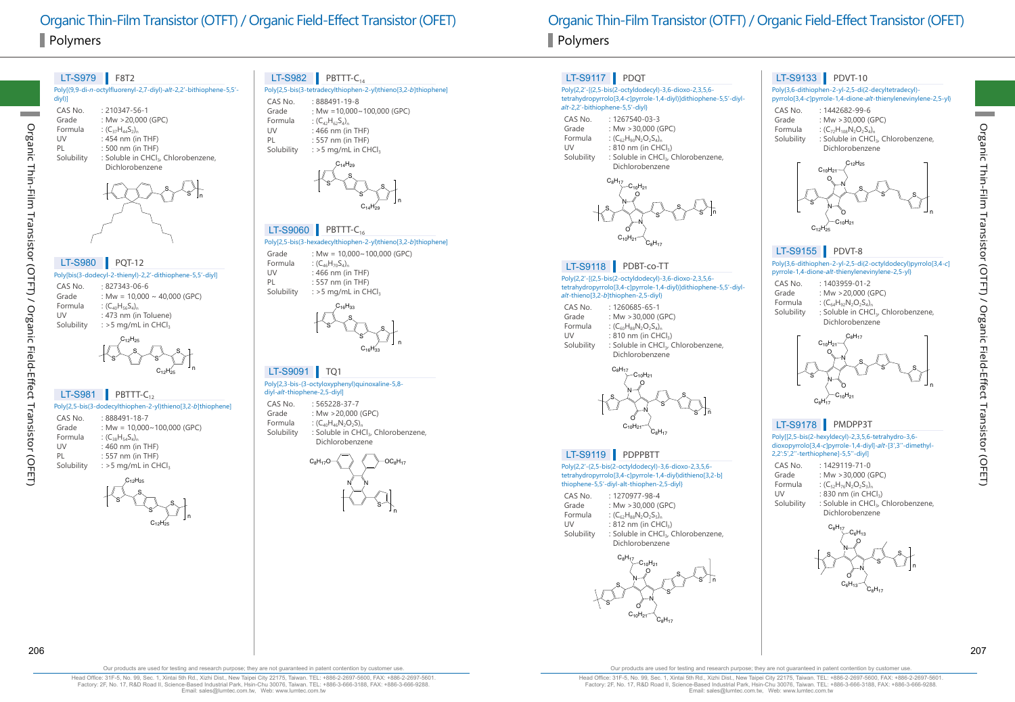## Polymers Polymers

#### Poly[(9,9-di-n-octylfluorenyl-2,7-diyl)-alt-2,2'-bithiophene-5,5' diyl)] CAS No. : 210347-56-1<br>Grade : Mw > 20.000 Grade :  $Mw > 20,000$  (GPC)<br>Formula :  $(C_{27}H_{44}S_{2})$ Formula :  $(C_{37}H_{44}S_{2})_n$ <br>UV : 454 nm (in UV : 454 nm (in THF)<br>PL : 500 nm (in THF) PL : 500 nm (in THF)<br>Solubility : Soluble in CHCl. : Soluble in CHCl3, Chlorobenzene, Dichlorobenzene LT-S979 F8T2 S s <sub>In</sub>

| <b>LT-S980</b> | <b>PQT-12</b>                                             |
|----------------|-----------------------------------------------------------|
|                | Poly[bis(3-dodecyl-2-thienyl)-2,2'-dithiophene-5,5'-diyl] |
| CAS No.        | $.827343-06-6$                                            |
| Grade          | : Mw = $10,000 \sim 40,000$ (GPC)                         |
| Formula        | $(C_{40}H_{56}S_{4})$                                     |
| UV             | : 473 nm (in Toluene)                                     |
| Solubility     | : $>$ 5 mg/mL in CHCl <sub>3</sub>                        |

S  $S \sim \mathcal{A} \quad \, \, \sim \quad \mathcal{S}$ S  $C_{12}H_{25}$  $C_{12}H_{25}$  n

## $LT-S981$  PBTTT-C<sub>12</sub>

Organic Thin-Film Transistor (OTFT) / Organic Field-Effect Transistor (OFET)

Transistor (OTFT) / Organic Field-Effect

Transistor (OFET)

Organic

Thin-Film

|            | Poly[2,5-bis(3-dodecylthiophen-2-yl)thieno[3,2-b]thiophene] |
|------------|-------------------------------------------------------------|
| CAS No.    | : 888491-18-7                                               |
| Grade      | : Mw = $10,000 \sim 100,000$ (GPC)                          |
| Formula    | $(C_{38}H_{54}S_{4})_{n}$                                   |
| UV         | : $460$ nm (in THF)                                         |
| PI         | $: 557$ nm (in THF)                                         |
| Solubility | : $>$ 5 mg/mL in CHCl.                                      |
|            | $C_{\lambda}$ .H $_{\lambda}$                               |



n

## $LT-S982$  PBTTT-C<sub>14</sub>

| Poly[2,5-bis(3-tetradecylthiophen-2-yl)thieno[3,2- <i>b</i> ]thiophene] |                                    |  |
|-------------------------------------------------------------------------|------------------------------------|--|
| CAS No.                                                                 | $:888491-19-8$                     |  |
| Grade                                                                   | : Mw = $10,000 \sim 100,000$ (GPC) |  |
| Formula                                                                 | : $(C_{42}H_{62}S_{4})_n$          |  |
| UV                                                                      | : $466$ nm (in THF)                |  |
| PL                                                                      | $: 557$ nm (in THF)                |  |
| Solubility                                                              | : $>$ 5 mg/mL in CHCl,             |  |
|                                                                         |                                    |  |

n

n



#### Poly[2,5-bis(3-hexadecylthiophen-2-yl)thieno[3,2-b]thiophene]  $LT-S9060$  PBTTT-C<sub>16</sub>

Grade : Mw =  $10.000 \times 100.000$  (GPC) Formula :  $(C_{46}H_{70}S_{4})_n$ <br>UV : 466 nm (in UV : 466 nm (in THF)<br>PL : 557 nm (in THF)  $: 557$  nm (in THF) Solubility : >5 mg/mL in CHCl

> S S  $^{\mathsf{s}}$   $\hspace{0.1em}\rule{0.7pt}{0.1em}\hspace{0.1em}\parallel$   $\hspace{0.1em}\rule{0.7pt}{0.8em}\hspace{0.1em}\hspace{0.1em}$   $^{\mathsf{s}}$  $\mathsf{C}_{\mathsf{16}}\mathsf{H}_{\mathsf{33}}$  $C_{16}H_{33}$

### LT-S9091 | TQ1

#### Poly[2,3-bis-(3-octyloxyphenyl)quinoxaline-5,8 diyl-alt-thiophene-2,5-diyl] CAS No. : 565228-37-7

Grade : Mw >20,000 (GPC) Formula :  $(C_{40}H_{46}N_2O_2S)$ ,<br>Solubility : Soluble in CH : Soluble in CHCl<sub>3</sub>, Chlorobenzene, Dichlorobenzene



Organic Thin-Film Transistor (OTFT) / Organic Field-Effect Transistor (OFET) Organic Thin-Film Transistor (OTFT) / Organic Field-Effect Transistor (OFET)

## LT-S9117 PDQT

#### Poly{2,2'-[(2,5-bis(2-octyldodecyl)-3,6-dioxo-2,3,5,6 tetrahydropyrrolo[3,4-c]pyrrole-1,4-diyl)]dithiophene-5,5'-diylalt-2,2'-bithiophene-5,5'-diyl} CAS No. : 1267540-03-3<br>Grade : Mw >30,000 (0 Grade : Mw > 30,000 (GPC)<br>Formula :  $(C_{\epsilon}H_{\text{eq}}N_3Q_3S_4)$ . Formula :  $(C_{62}H_{90}N_2O_2S_4)$ <br>UV : 810 nm (in CH)

UV :  $810 \text{ nm (in CHCl}_3)$ <br>Solubility : Soluble in CHCl, : Soluble in CHCl<sub>3</sub>, Chlorobenzene, Dichlorobenzene



### LT-S9118 PDBT-co-TT

Poly{2,2'-[(2,5-bis(2-octyldodecyl)-3,6-dioxo-2,3,5,6 tetrahydropyrrolo[3,4-c]pyrrole-1,4-diyl)]dithiophene-5,5'-diylalt-thieno[3,2-b]thiophen-2,5-diyl}

| $: 1260685 - 65 - 1$                            |
|-------------------------------------------------|
| : Mw $>$ 30,000 (GPC)                           |
| : $(C_{60}H_{88}N_2O_2S_4)$                     |
| : 810 nm (in CHCl <sub>3</sub> )                |
| : Soluble in CHCl <sub>3</sub> , Chlorobenzene, |
| Dichlorobenzene                                 |
|                                                 |



## LT-S9119 PDPPBTT

Poly{2,2'-(2,5-bis(2-octyldodecyl)-3,6-dioxo-2,3,5,6 tetrahydropyrrolo[3,4-c]pyrrole-1,4-diyl)dithieno[3,2-b] thiophene-5,5'-diyl-alt-thiophen-2,5-diyl}

| CAS No. | $: 1270977 - 98 - 4$          |
|---------|-------------------------------|
| Grade   | : Mw $>$ 30,000 (GPC)         |
| Formula | : $(C_{62}H_{88}N_2O_2S_5)_n$ |
| UV.     | $\cdot$ 812 nm (in CHCL)      |

UV : 812 nm (in CHCl<sub>3</sub>)<br>Solubility : Soluble in CHCl<sub>3</sub> : Soluble in CHCl<sub>3</sub>, Chlorobenzene,



## LT-S9133 PDVT-10

Poly{3,6-dithiophen-2-yl-2,5-di(2-decyltetradecyl) pyrrolo[3,4-c]pyrrole-1,4-dione-alt-thienylenevinylene-2,5-yl}

CAS No. : 1442682-99-6<br>Grade : Mw > 30.000 (G Grade :  $Mw > 30,000$  (GPC)<br>Formula :  $(C_{72}H_{100}N_2O_3S_4)$ Formula :  $(C_{72}H_{108}N_2O_2S_4)$ <br>Solubility : Soluble in CHCl : Soluble in CHCl<sub>3</sub>, Chlorobenzene, Dichlorobenzene



## LT-S9155 PDVT-8

Poly{3,6-dithiophen-2-yl-2,5-di(2-octyldodecyl)pyrrolo[3,4-c] pyrrole-1,4-dione-alt-thienylenevinylene-2,5-yl}

CAS No. : 1403959-01-2<br>Grade : Mw >20.000 ( Grade : Mw >20,000 (GPC)<br>Formula :  $(C_{64}H_{92}N_2O_2S_4)$ Formula :  $(C_{64}H_{92}N_2O_2S_4)$ ,<br>Solubility : Soluble in CHC : Soluble in CHCl<sub>3</sub>, Chlorobenzene, Dichlorobenzene



## LT-S9178 PMDPP3T

Poly[[2,5-bis(2-hexyldecyl)-2,3,5,6-tetrahydro-3,6 dioxopyrrolo[3,4-c]pyrrole-1,4-diyl]-alt-[3',3''-dimethyl-2,2':5',2''-terthiophene]-5,5''-diyl]

| CAS No.    | $: 1429119 - 71 - 0$                            |
|------------|-------------------------------------------------|
| Grade      | : Mw $>$ 30,000 (GPC)                           |
| Formula    | : $(C_{52}H_{76}N_2O_2S_3)_{n}$                 |
| UV         | : 830 nm (in CHCl <sub>3</sub> )                |
| Solubility | : Soluble in CHCl <sub>3</sub> , Chlorobenzene, |
|            | Dichlorobenzene                                 |



n

206 207

Head Office: 31F-5, No. 99, Sec. 1, Xintai 5th Rd., Xizhi Dist., New Taipei City 22175, Taiwan. TEL: +886-2-2697-5600, FAX: +886-2-2697-5601. Factory: 2F, No. 17, R&D Road II, Science-Based Industrial Park, Hsin-Chu 30076, Taiwan. TEL: +886-3-666-3188, FAX: +886-3-666-9288. Email: sales@lumtec.com.tw, Web: www.lumtec.com.tw

Our products are used for testing and research purpose; they are not guaranteed in patent contention by customer use